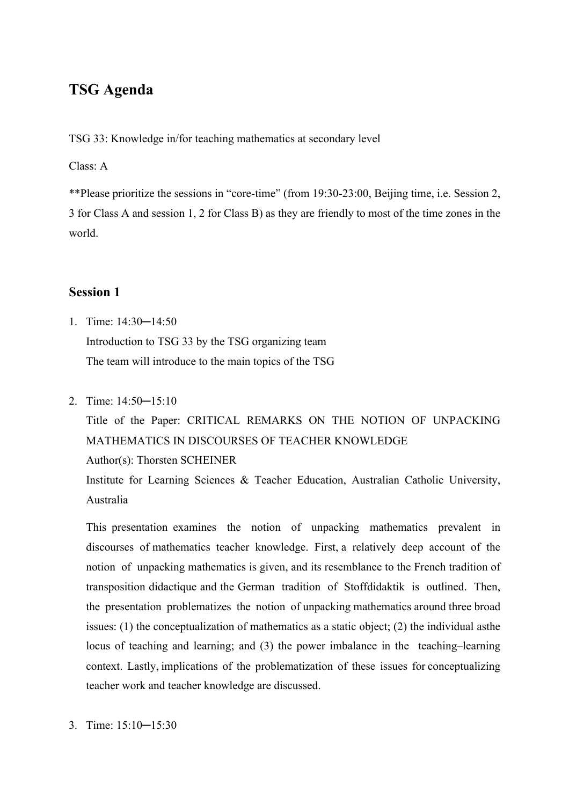## **TSG Agenda**

TSG 33: Knowledge in/for teaching mathematics at secondary level

Class: A

\*\*Please prioritize the sessions in "core-time" (from 19:30-23:00, Beijing time, i.e. Session 2, 3 for Class A and session 1, 2 for Class B) as they are friendly to most of the time zones in the world.

### **Session 1**

- 1. Time: 14:30─14:50 Introduction to TSG 33 by the TSG organizing team The team will introduce to the main topics of the TSG
- 2. Time: 14:50─15:10

Title of the Paper: CRITICAL REMARKS ON THE NOTION OF UNPACKING MATHEMATICS IN DISCOURSES OF TEACHER KNOWLEDGE Author(s): Thorsten SCHEINER

Institute for Learning Sciences & Teacher Education, Australian Catholic University, Australia

This presentation examines the notion of unpacking mathematics prevalent in discourses of mathematics teacher knowledge. First, a relatively deep account of the notion of unpacking mathematics is given, and its resemblance to the French tradition of transposition didactique and the German tradition of Stoffdidaktik is outlined. Then, the presentation problematizes the notion of unpacking mathematics around three broad issues: (1) the conceptualization of mathematics as a static object; (2) the individual asthe locus of teaching and learning; and (3) the power imbalance in the teaching–learning context. Lastly, implications of the problematization of these issues for conceptualizing teacher work and teacher knowledge are discussed.

3. Time: 15:10─15:30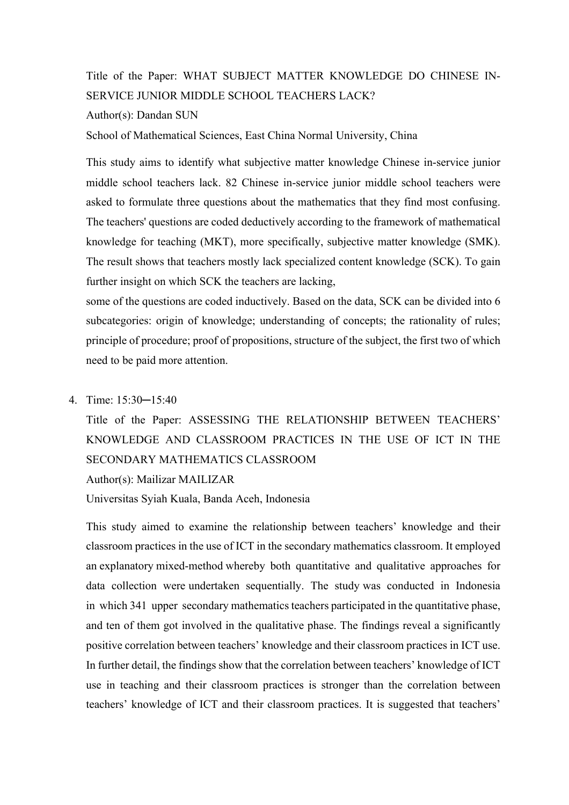Title of the Paper: WHAT SUBJECT MATTER KNOWLEDGE DO CHINESE IN-SERVICE JUNIOR MIDDLE SCHOOL TEACHERS LACK? Author(s): Dandan SUN

School of Mathematical Sciences, East China Normal University, China

This study aims to identify what subjective matter knowledge Chinese in-service junior middle school teachers lack. 82 Chinese in-service junior middle school teachers were asked to formulate three questions about the mathematics that they find most confusing. The teachers' questions are coded deductively according to the framework of mathematical knowledge for teaching (MKT), more specifically, subjective matter knowledge (SMK). The result shows that teachers mostly lack specialized content knowledge (SCK). To gain further insight on which SCK the teachers are lacking,

some of the questions are coded inductively. Based on the data, SCK can be divided into 6 subcategories: origin of knowledge; understanding of concepts; the rationality of rules; principle of procedure; proof of propositions, structure of the subject, the first two of which need to be paid more attention.

#### 4. Time: 15:30─15:40

Title of the Paper: ASSESSING THE RELATIONSHIP BETWEEN TEACHERS' KNOWLEDGE AND CLASSROOM PRACTICES IN THE USE OF ICT IN THE SECONDARY MATHEMATICS CLASSROOM

Author(s): Mailizar MAILIZAR

Universitas Syiah Kuala, Banda Aceh, Indonesia

This study aimed to examine the relationship between teachers' knowledge and their classroom practices in the use of ICT in the secondary mathematics classroom. It employed an explanatory mixed-method whereby both quantitative and qualitative approaches for data collection were undertaken sequentially. The study was conducted in Indonesia in which 341 upper secondary mathematics teachers participated in the quantitative phase, and ten of them got involved in the qualitative phase. The findings reveal a significantly positive correlation between teachers' knowledge and their classroom practices in ICT use. In further detail, the findings show that the correlation between teachers' knowledge of ICT use in teaching and their classroom practices is stronger than the correlation between teachers' knowledge of ICT and their classroom practices. It is suggested that teachers'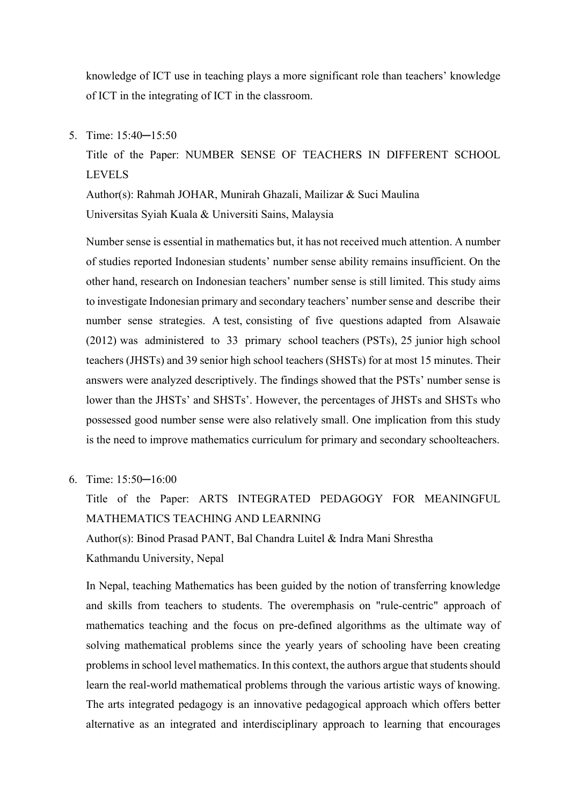knowledge of ICT use in teaching plays a more significant role than teachers' knowledge of ICT in the integrating of ICT in the classroom.

5. Time: 15:40─15:50

Title of the Paper: NUMBER SENSE OF TEACHERS IN DIFFERENT SCHOOL LEVELS

Author(s): Rahmah JOHAR, Munirah Ghazali, Mailizar & Suci Maulina Universitas Syiah Kuala & Universiti Sains, Malaysia

Number sense is essential in mathematics but, it has not received much attention. A number of studies reported Indonesian students' number sense ability remains insufficient. On the other hand, research on Indonesian teachers' number sense is still limited. This study aims to investigate Indonesian primary and secondary teachers' number sense and describe their number sense strategies. A test, consisting of five questions adapted from Alsawaie (2012) was administered to 33 primary school teachers (PSTs), 25 junior high school teachers (JHSTs) and 39 senior high school teachers (SHSTs) for at most 15 minutes. Their answers were analyzed descriptively. The findings showed that the PSTs' number sense is lower than the JHSTs' and SHSTs'. However, the percentages of JHSTs and SHSTs who possessed good number sense were also relatively small. One implication from this study is the need to improve mathematics curriculum for primary and secondary schoolteachers.

6. Time: 15:50─16:00

Title of the Paper: ARTS INTEGRATED PEDAGOGY FOR MEANINGFUL MATHEMATICS TEACHING AND LEARNING Author(s): Binod Prasad PANT, Bal Chandra Luitel & Indra Mani Shrestha Kathmandu University, Nepal

In Nepal, teaching Mathematics has been guided by the notion of transferring knowledge and skills from teachers to students. The overemphasis on "rule-centric" approach of mathematics teaching and the focus on pre-defined algorithms as the ultimate way of solving mathematical problems since the yearly years of schooling have been creating problems in school level mathematics. In this context, the authors argue that students should learn the real-world mathematical problems through the various artistic ways of knowing. The arts integrated pedagogy is an innovative pedagogical approach which offers better alternative as an integrated and interdisciplinary approach to learning that encourages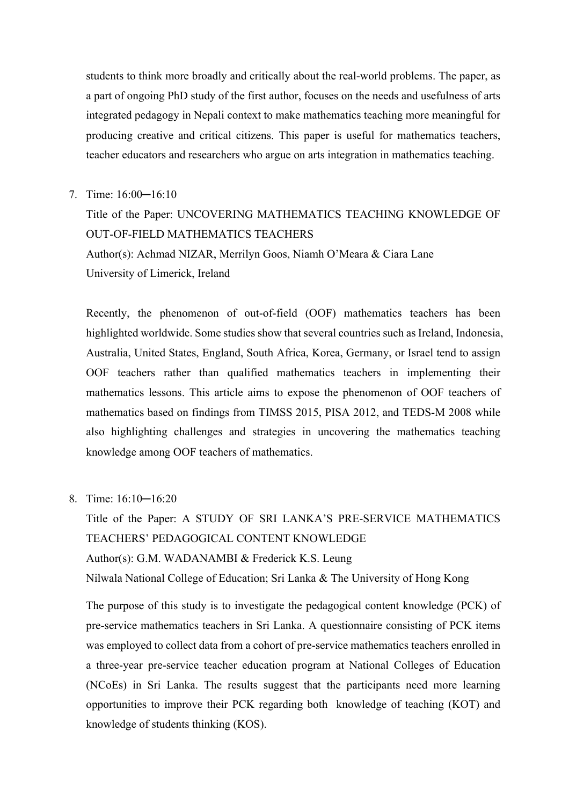students to think more broadly and critically about the real-world problems. The paper, as a part of ongoing PhD study of the first author, focuses on the needs and usefulness of arts integrated pedagogy in Nepali context to make mathematics teaching more meaningful for producing creative and critical citizens. This paper is useful for mathematics teachers, teacher educators and researchers who argue on arts integration in mathematics teaching.

7. Time: 16:00─16:10

Title of the Paper: UNCOVERING MATHEMATICS TEACHING KNOWLEDGE OF OUT-OF-FIELD MATHEMATICS TEACHERS Author(s): Achmad NIZAR, Merrilyn Goos, Niamh O'Meara & Ciara Lane University of Limerick, Ireland

Recently, the phenomenon of out-of-field (OOF) mathematics teachers has been highlighted worldwide. Some studies show that several countries such as Ireland, Indonesia, Australia, United States, England, South Africa, Korea, Germany, or Israel tend to assign OOF teachers rather than qualified mathematics teachers in implementing their mathematics lessons. This article aims to expose the phenomenon of OOF teachers of mathematics based on findings from TIMSS 2015, PISA 2012, and TEDS-M 2008 while also highlighting challenges and strategies in uncovering the mathematics teaching knowledge among OOF teachers of mathematics.

8. Time: 16:10─16:20

Title of the Paper: A STUDY OF SRI LANKA'S PRE-SERVICE MATHEMATICS TEACHERS' PEDAGOGICAL CONTENT KNOWLEDGE Author(s): G.M. WADANAMBI & Frederick K.S. Leung Nilwala National College of Education; Sri Lanka & The University of Hong Kong

The purpose of this study is to investigate the pedagogical content knowledge (PCK) of pre-service mathematics teachers in Sri Lanka. A questionnaire consisting of PCK items was employed to collect data from a cohort of pre-service mathematics teachers enrolled in a three-year pre-service teacher education program at National Colleges of Education (NCoEs) in Sri Lanka. The results suggest that the participants need more learning opportunities to improve their PCK regarding both knowledge of teaching (KOT) and knowledge of students thinking (KOS).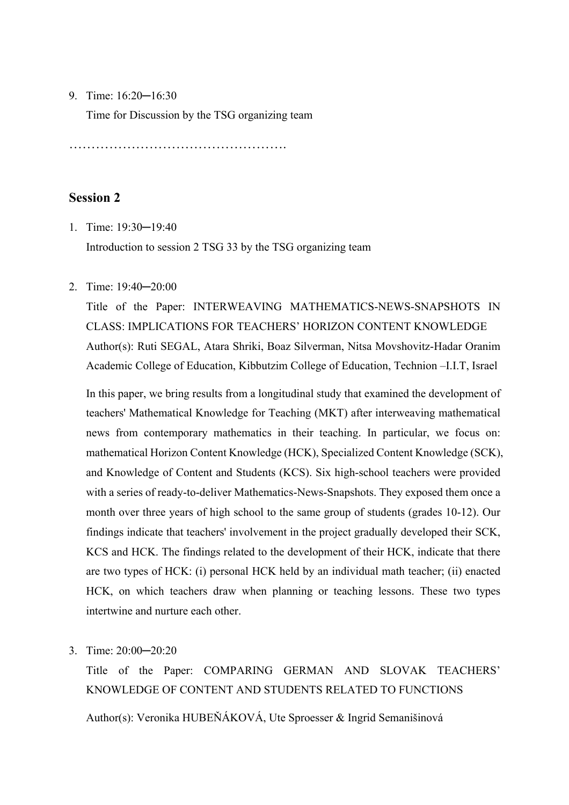#### 9. Time: 16:20─16:30

Time for Discussion by the TSG organizing team

………………………………………….

## **Session 2**

- 1. Time: 19:30─19:40 Introduction to session 2 TSG 33 by the TSG organizing team
- 2. Time: 19:40─20:00

Title of the Paper: INTERWEAVING MATHEMATICS-NEWS-SNAPSHOTS IN CLASS: IMPLICATIONS FOR TEACHERS' HORIZON CONTENT KNOWLEDGE Author(s): Ruti SEGAL, Atara Shriki, Boaz Silverman, Nitsa Movshovitz-Hadar Oranim Academic College of Education, Kibbutzim College of Education, Technion –I.I.T, Israel

In this paper, we bring results from a longitudinal study that examined the development of teachers' Mathematical Knowledge for Teaching (MKT) after interweaving mathematical news from contemporary mathematics in their teaching. In particular, we focus on: mathematical Horizon Content Knowledge (HCK), Specialized Content Knowledge (SCK), and Knowledge of Content and Students (KCS). Six high-school teachers were provided with a series of ready-to-deliver Mathematics-News-Snapshots. They exposed them once a month over three years of high school to the same group of students (grades 10-12). Our findings indicate that teachers' involvement in the project gradually developed their SCK, KCS and HCK. The findings related to the development of their HCK, indicate that there are two types of HCK: (i) personal HCK held by an individual math teacher; (ii) enacted HCK, on which teachers draw when planning or teaching lessons. These two types intertwine and nurture each other.

3. Time: 20:00─20:20

Title of the Paper: COMPARING GERMAN AND SLOVAK TEACHERS' KNOWLEDGE OF CONTENT AND STUDENTS RELATED TO FUNCTIONS Author(s): Veronika HUBEŇÁKOVÁ, Ute Sproesser & Ingrid Semanišinová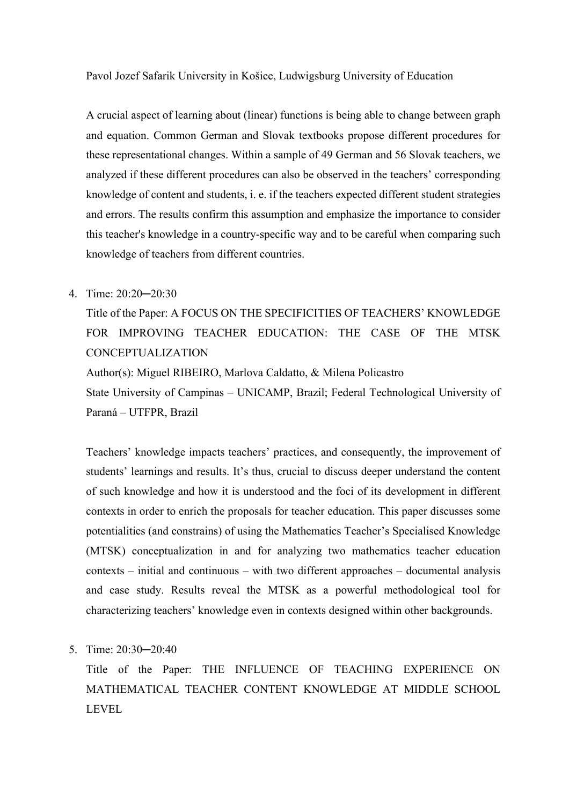#### Pavol Jozef Safarik University in Košice, Ludwigsburg University of Education

A crucial aspect of learning about (linear) functions is being able to change between graph and equation. Common German and Slovak textbooks propose different procedures for these representational changes. Within a sample of 49 German and 56 Slovak teachers, we analyzed if these different procedures can also be observed in the teachers' corresponding knowledge of content and students, i. e. if the teachers expected different student strategies and errors. The results confirm this assumption and emphasize the importance to consider this teacher's knowledge in a country-specific way and to be careful when comparing such knowledge of teachers from different countries.

### 4. Time: 20:20─20:30

Title of the Paper: A FOCUS ON THE SPECIFICITIES OF TEACHERS' KNOWLEDGE FOR IMPROVING TEACHER EDUCATION: THE CASE OF THE MTSK CONCEPTUALIZATION Author(s): Miguel RIBEIRO, Marlova Caldatto, & Milena Policastro State University of Campinas – UNICAMP, Brazil; Federal Technological University of

Paraná – UTFPR, Brazil

Teachers' knowledge impacts teachers' practices, and consequently, the improvement of students' learnings and results. It's thus, crucial to discuss deeper understand the content of such knowledge and how it is understood and the foci of its development in different contexts in order to enrich the proposals for teacher education. This paper discusses some potentialities (and constrains) of using the Mathematics Teacher's Specialised Knowledge (MTSK) conceptualization in and for analyzing two mathematics teacher education contexts – initial and continuous – with two different approaches – documental analysis and case study. Results reveal the MTSK as a powerful methodological tool for characterizing teachers' knowledge even in contexts designed within other backgrounds.

5. Time: 20:30─20:40

Title of the Paper: THE INFLUENCE OF TEACHING EXPERIENCE ON MATHEMATICAL TEACHER CONTENT KNOWLEDGE AT MIDDLE SCHOOL LEVEL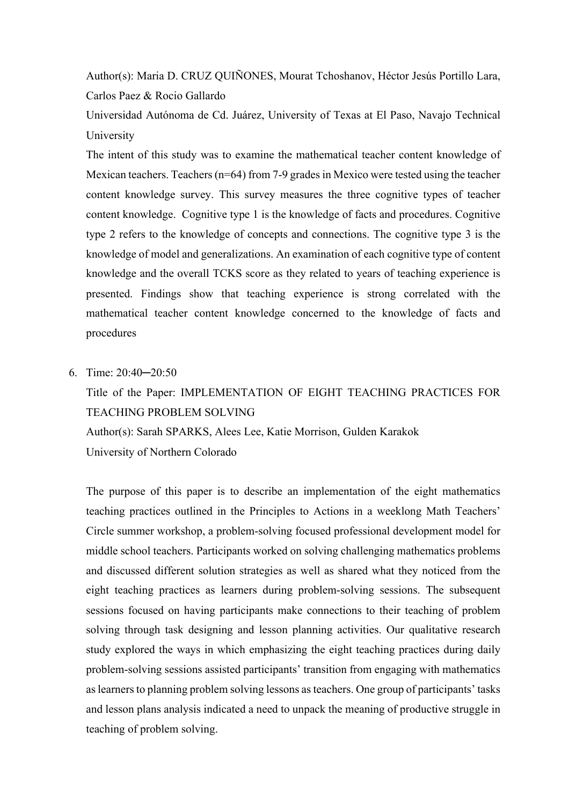Author(s): Maria D. CRUZ QUIÑONES, Mourat Tchoshanov, Héctor Jesús Portillo Lara, Carlos Paez & Rocio Gallardo

Universidad Autónoma de Cd. Juárez, University of Texas at El Paso, Navajo Technical University

The intent of this study was to examine the mathematical teacher content knowledge of Mexican teachers. Teachers (n=64) from 7-9 grades in Mexico were tested using the teacher content knowledge survey. This survey measures the three cognitive types of teacher content knowledge. Cognitive type 1 is the knowledge of facts and procedures. Cognitive type 2 refers to the knowledge of concepts and connections. The cognitive type 3 is the knowledge of model and generalizations. An examination of each cognitive type of content knowledge and the overall TCKS score as they related to years of teaching experience is presented. Findings show that teaching experience is strong correlated with the mathematical teacher content knowledge concerned to the knowledge of facts and procedures

6. Time: 20:40─20:50

# Title of the Paper: IMPLEMENTATION OF EIGHT TEACHING PRACTICES FOR TEACHING PROBLEM SOLVING

Author(s): Sarah SPARKS, Alees Lee, Katie Morrison, Gulden Karakok University of Northern Colorado

The purpose of this paper is to describe an implementation of the eight mathematics teaching practices outlined in the Principles to Actions in a weeklong Math Teachers' Circle summer workshop, a problem-solving focused professional development model for middle school teachers. Participants worked on solving challenging mathematics problems and discussed different solution strategies as well as shared what they noticed from the eight teaching practices as learners during problem-solving sessions. The subsequent sessions focused on having participants make connections to their teaching of problem solving through task designing and lesson planning activities. Our qualitative research study explored the ways in which emphasizing the eight teaching practices during daily problem-solving sessions assisted participants' transition from engaging with mathematics as learners to planning problem solving lessons as teachers. One group of participants' tasks and lesson plans analysis indicated a need to unpack the meaning of productive struggle in teaching of problem solving.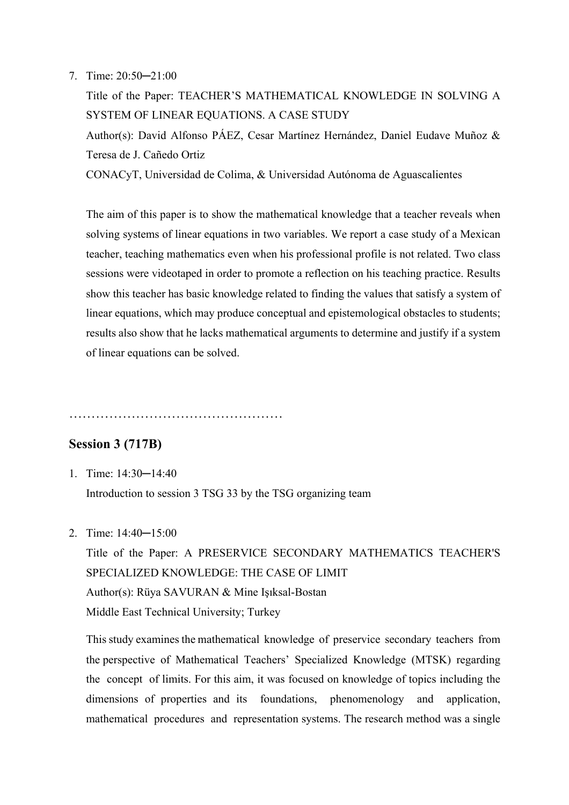#### 7. Time: 20:50─21:00

Title of the Paper: TEACHER'S MATHEMATICAL KNOWLEDGE IN SOLVING A SYSTEM OF LINEAR EQUATIONS. A CASE STUDY Author(s): David Alfonso PÁEZ, Cesar Martínez Hernández, Daniel Eudave Muñoz & Teresa de J. Cañedo Ortiz CONACyT, Universidad de Colima, & Universidad Autónoma de Aguascalientes

The aim of this paper is to show the mathematical knowledge that a teacher reveals when solving systems of linear equations in two variables. We report a case study of a Mexican teacher, teaching mathematics even when his professional profile is not related. Two class sessions were videotaped in order to promote a reflection on his teaching practice. Results show this teacher has basic knowledge related to finding the values that satisfy a system of linear equations, which may produce conceptual and epistemological obstacles to students; results also show that he lacks mathematical arguments to determine and justify if a system of linear equations can be solved.

…………………………………………

### **Session 3 (717B)**

1. Time: 14:30─14:40

Introduction to session 3 TSG 33 by the TSG organizing team

2. Time: 14:40─15:00

Title of the Paper: A PRESERVICE SECONDARY MATHEMATICS TEACHER'S SPECIALIZED KNOWLEDGE: THE CASE OF LIMIT Author(s): Rüya SAVURAN & Mine Işıksal-Bostan Middle East Technical University; Turkey

This study examines the mathematical knowledge of preservice secondary teachers from the perspective of Mathematical Teachers' Specialized Knowledge (MTSK) regarding the concept of limits. For this aim, it was focused on knowledge of topics including the dimensions of properties and its foundations, phenomenology and application, mathematical procedures and representation systems. The research method was a single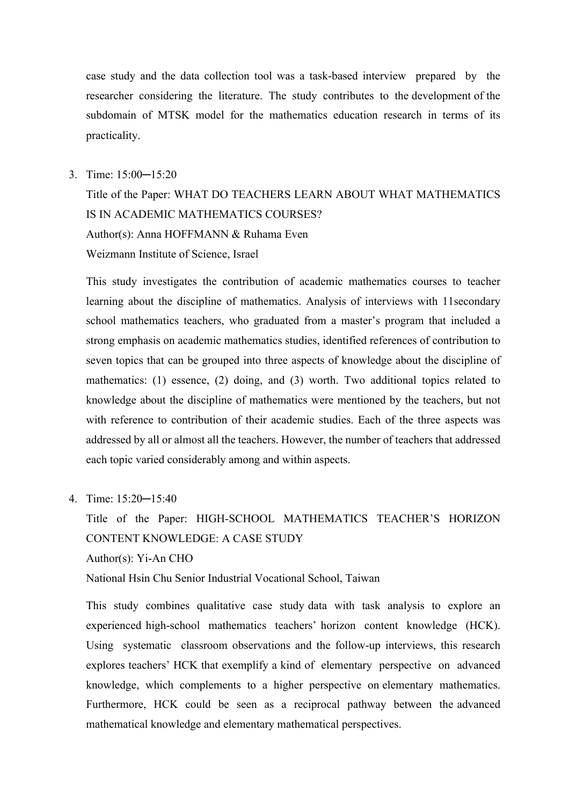case study and the data collection tool was a task-based interview prepared by the researcher considering the literature. The study contributes to the development of the subdomain of MTSK model for the mathematics education research in terms of its practicality.

#### 3. Time: 15:00─15:20

Title of the Paper: WHAT DO TEACHERS LEARN ABOUT WHAT MATHEMATICS IS IN ACADEMIC MATHEMATICS COURSES? Author(s): Anna HOFFMANN & Ruhama Even Weizmann Institute of Science, Israel

This study investigates the contribution of academic mathematics courses to teacher learning about the discipline of mathematics. Analysis of interviews with 11secondary school mathematics teachers, who graduated from a master's program that included a strong emphasis on academic mathematics studies, identified references of contribution to seven topics that can be grouped into three aspects of knowledge about the discipline of mathematics: (1) essence, (2) doing, and (3) worth. Two additional topics related to knowledge about the discipline of mathematics were mentioned by the teachers, but not with reference to contribution of their academic studies. Each of the three aspects was addressed by all or almost all the teachers. However, the number of teachers that addressed each topic varied considerably among and within aspects.

4. Time: 15:20─15:40

Title of the Paper: HIGH-SCHOOL MATHEMATICS TEACHER'S HORIZON CONTENT KNOWLEDGE: A CASE STUDY Author(s): Yi-An CHO

National Hsin Chu Senior Industrial Vocational School, Taiwan

This study combines qualitative case study data with task analysis to explore an experienced high-school mathematics teachers' horizon content knowledge (HCK). Using systematic classroom observations and the follow-up interviews, this research explores teachers' HCK that exemplify a kind of elementary perspective on advanced knowledge, which complements to a higher perspective on elementary mathematics. Furthermore, HCK could be seen as a reciprocal pathway between the advanced mathematical knowledge and elementary mathematical perspectives.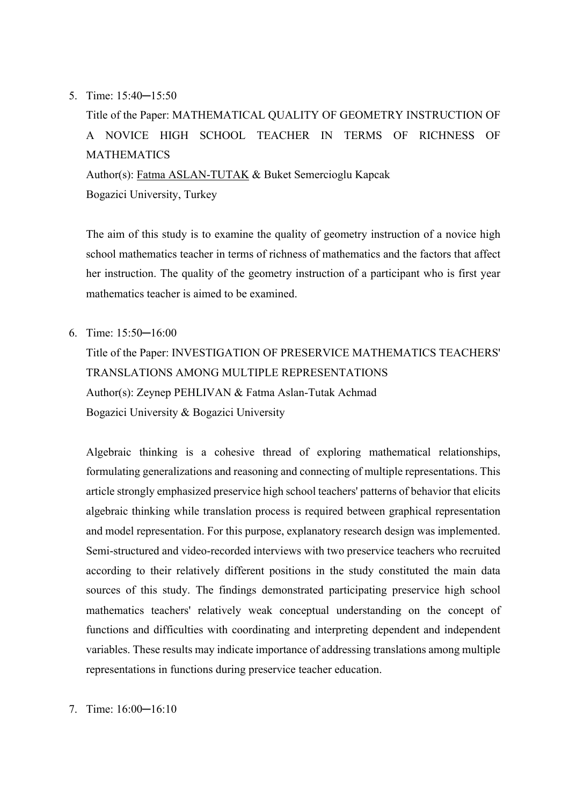#### 5. Time: 15:40─15:50

Title of the Paper: MATHEMATICAL QUALITY OF GEOMETRY INSTRUCTION OF A NOVICE HIGH SCHOOL TEACHER IN TERMS OF RICHNESS OF MATHEMATICS Author(s): Fatma ASLAN-TUTAK & Buket Semercioglu Kapcak Bogazici University, Turkey

The aim of this study is to examine the quality of geometry instruction of a novice high school mathematics teacher in terms of richness of mathematics and the factors that affect her instruction. The quality of the geometry instruction of a participant who is first year mathematics teacher is aimed to be examined.

6. Time: 15:50─16:00

Title of the Paper: INVESTIGATION OF PRESERVICE MATHEMATICS TEACHERS' TRANSLATIONS AMONG MULTIPLE REPRESENTATIONS Author(s): Zeynep PEHLIVAN & Fatma Aslan-Tutak Achmad Bogazici University & Bogazici University

Algebraic thinking is a cohesive thread of exploring mathematical relationships, formulating generalizations and reasoning and connecting of multiple representations. This article strongly emphasized preservice high school teachers' patterns of behavior that elicits algebraic thinking while translation process is required between graphical representation and model representation. For this purpose, explanatory research design was implemented. Semi-structured and video-recorded interviews with two preservice teachers who recruited according to their relatively different positions in the study constituted the main data sources of this study. The findings demonstrated participating preservice high school mathematics teachers' relatively weak conceptual understanding on the concept of functions and difficulties with coordinating and interpreting dependent and independent variables. These results may indicate importance of addressing translations among multiple representations in functions during preservice teacher education.

7. Time: 16:00─16:10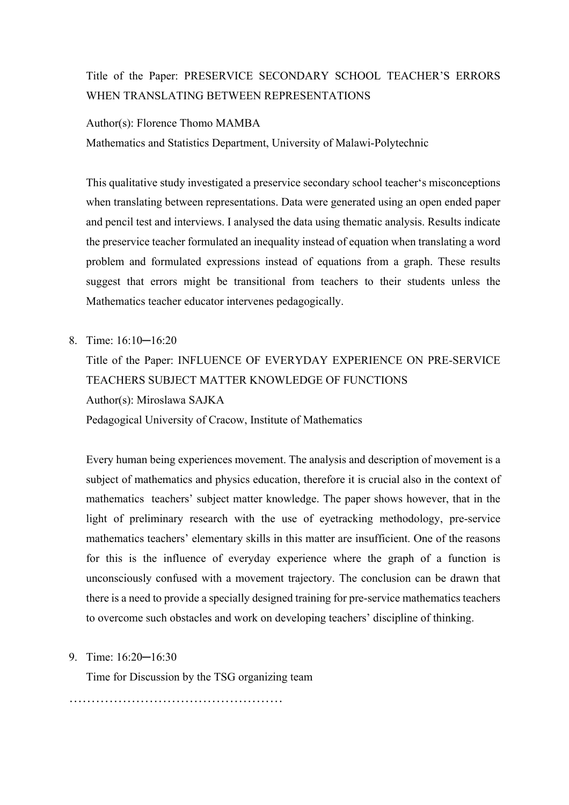## Title of the Paper: PRESERVICE SECONDARY SCHOOL TEACHER'S ERRORS WHEN TRANSLATING BETWEEN REPRESENTATIONS

#### Author(s): Florence Thomo MAMBA

Mathematics and Statistics Department, University of Malawi-Polytechnic

This qualitative study investigated a preservice secondary school teacher's misconceptions when translating between representations. Data were generated using an open ended paper and pencil test and interviews. I analysed the data using thematic analysis. Results indicate the preservice teacher formulated an inequality instead of equation when translating a word problem and formulated expressions instead of equations from a graph. These results suggest that errors might be transitional from teachers to their students unless the Mathematics teacher educator intervenes pedagogically.

#### 8. Time: 16:10─16:20

Title of the Paper: INFLUENCE OF EVERYDAY EXPERIENCE ON PRE-SERVICE TEACHERS SUBJECT MATTER KNOWLEDGE OF FUNCTIONS Author(s): Miroslawa SAJKA Pedagogical University of Cracow, Institute of Mathematics

Every human being experiences movement. The analysis and description of movement is a subject of mathematics and physics education, therefore it is crucial also in the context of mathematics teachers' subject matter knowledge. The paper shows however, that in the light of preliminary research with the use of eyetracking methodology, pre-service mathematics teachers' elementary skills in this matter are insufficient. One of the reasons for this is the influence of everyday experience where the graph of a function is unconsciously confused with a movement trajectory. The conclusion can be drawn that there is a need to provide a specially designed training for pre-service mathematics teachers to overcome such obstacles and work on developing teachers' discipline of thinking.

#### 9. Time: 16:20─16:30

Time for Discussion by the TSG organizing team

…………………………………………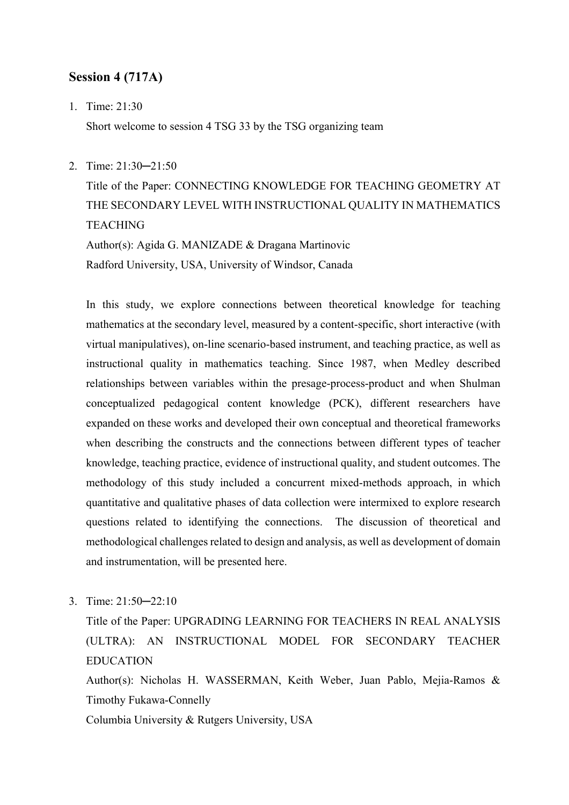## **Session 4 (717A)**

1. Time: 21:30

Short welcome to session 4 TSG 33 by the TSG organizing team

2. Time: 21:30─21:50

Title of the Paper: CONNECTING KNOWLEDGE FOR TEACHING GEOMETRY AT THE SECONDARY LEVEL WITH INSTRUCTIONAL QUALITY IN MATHEMATICS **TEACHING** Author(s): Agida G. MANIZADE & Dragana Martinovic

Radford University, USA, University of Windsor, Canada

In this study, we explore connections between theoretical knowledge for teaching mathematics at the secondary level, measured by a content-specific, short interactive (with virtual manipulatives), on-line scenario-based instrument, and teaching practice, as well as instructional quality in mathematics teaching. Since 1987, when Medley described relationships between variables within the presage-process-product and when Shulman conceptualized pedagogical content knowledge (PCK), different researchers have expanded on these works and developed their own conceptual and theoretical frameworks when describing the constructs and the connections between different types of teacher knowledge, teaching practice, evidence of instructional quality, and student outcomes. The methodology of this study included a concurrent mixed-methods approach, in which quantitative and qualitative phases of data collection were intermixed to explore research questions related to identifying the connections. The discussion of theoretical and methodological challenges related to design and analysis, as well as development of domain and instrumentation, will be presented here.

3. Time: 21:50─22:10

Title of the Paper: UPGRADING LEARNING FOR TEACHERS IN REAL ANALYSIS (ULTRA): AN INSTRUCTIONAL MODEL FOR SECONDARY TEACHER EDUCATION

Author(s): Nicholas H. WASSERMAN, Keith Weber, Juan Pablo, Mejia-Ramos & Timothy Fukawa-Connelly

Columbia University & Rutgers University, USA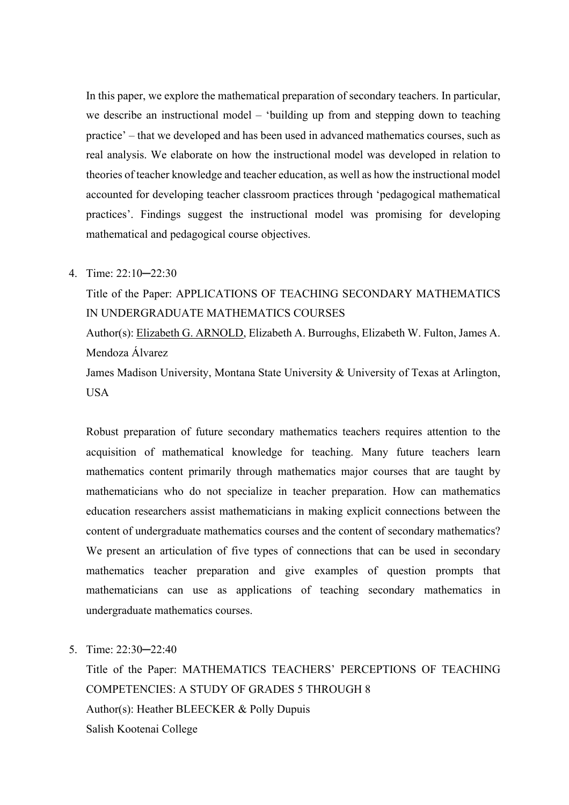In this paper, we explore the mathematical preparation of secondary teachers. In particular, we describe an instructional model – 'building up from and stepping down to teaching practice' – that we developed and has been used in advanced mathematics courses, such as real analysis. We elaborate on how the instructional model was developed in relation to theories of teacher knowledge and teacher education, as well as how the instructional model accounted for developing teacher classroom practices through 'pedagogical mathematical practices'. Findings suggest the instructional model was promising for developing mathematical and pedagogical course objectives.

#### 4. Time: 22:10─22:30

Title of the Paper: APPLICATIONS OF TEACHING SECONDARY MATHEMATICS IN UNDERGRADUATE MATHEMATICS COURSES

Author(s): Elizabeth G. ARNOLD, Elizabeth A. Burroughs, Elizabeth W. Fulton, James A. Mendoza Álvarez

James Madison University, Montana State University & University of Texas at Arlington, **USA** 

Robust preparation of future secondary mathematics teachers requires attention to the acquisition of mathematical knowledge for teaching. Many future teachers learn mathematics content primarily through mathematics major courses that are taught by mathematicians who do not specialize in teacher preparation. How can mathematics education researchers assist mathematicians in making explicit connections between the content of undergraduate mathematics courses and the content of secondary mathematics? We present an articulation of five types of connections that can be used in secondary mathematics teacher preparation and give examples of question prompts that mathematicians can use as applications of teaching secondary mathematics in undergraduate mathematics courses.

5. Time: 22:30─22:40

Title of the Paper: MATHEMATICS TEACHERS' PERCEPTIONS OF TEACHING COMPETENCIES: A STUDY OF GRADES 5 THROUGH 8 Author(s): Heather BLEECKER & Polly Dupuis Salish Kootenai College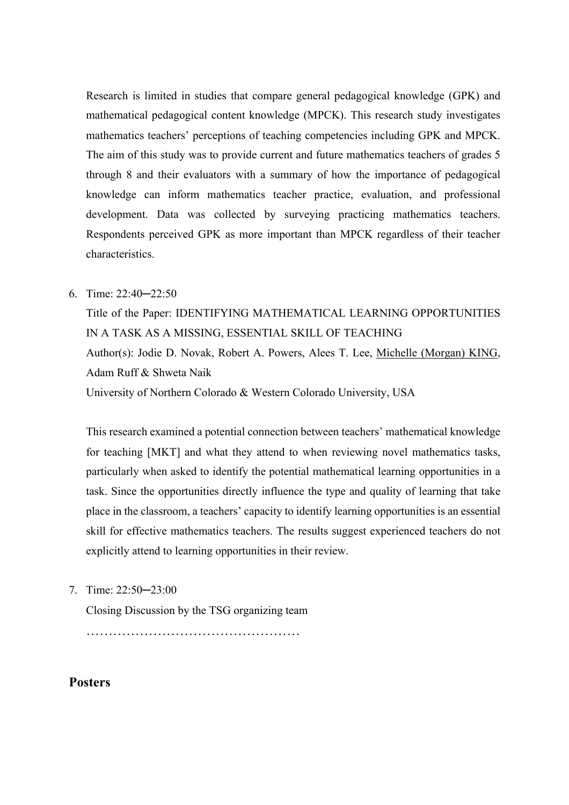Research is limited in studies that compare general pedagogical knowledge (GPK) and mathematical pedagogical content knowledge (MPCK). This research study investigates mathematics teachers' perceptions of teaching competencies including GPK and MPCK. The aim of this study was to provide current and future mathematics teachers of grades 5 through 8 and their evaluators with a summary of how the importance of pedagogical knowledge can inform mathematics teacher practice, evaluation, and professional development. Data was collected by surveying practicing mathematics teachers. Respondents perceived GPK as more important than MPCK regardless of their teacher characteristics.

### 6. Time: 22:40─22:50

Title of the Paper: IDENTIFYING MATHEMATICAL LEARNING OPPORTUNITIES IN A TASK AS A MISSING, ESSENTIAL SKILL OF TEACHING Author(s): Jodie D. Novak, Robert A. Powers, Alees T. Lee, Michelle (Morgan) KING, Adam Ruff & Shweta Naik University of Northern Colorado & Western Colorado University, USA

This research examined a potential connection between teachers' mathematical knowledge for teaching [MKT] and what they attend to when reviewing novel mathematics tasks, particularly when asked to identify the potential mathematical learning opportunities in a task. Since the opportunities directly influence the type and quality of learning that take place in the classroom, a teachers' capacity to identify learning opportunities is an essential skill for effective mathematics teachers. The results suggest experienced teachers do not explicitly attend to learning opportunities in their review.

7. Time: 22:50─23:00

Closing Discussion by the TSG organizing team

…………………………………………

## **Posters**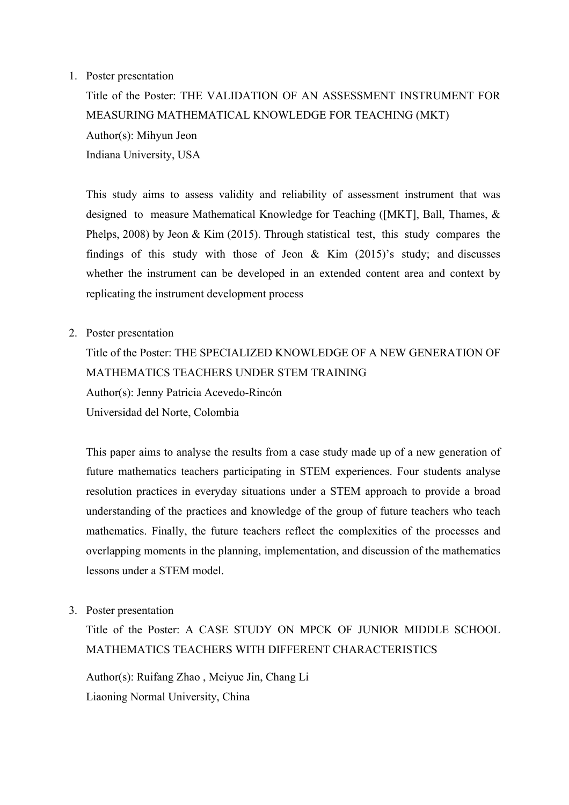#### 1. Poster presentation

Title of the Poster: THE VALIDATION OF AN ASSESSMENT INSTRUMENT FOR MEASURING MATHEMATICAL KNOWLEDGE FOR TEACHING (MKT) Author(s): Mihyun Jeon Indiana University, USA

This study aims to assess validity and reliability of assessment instrument that was designed to measure Mathematical Knowledge for Teaching ([MKT], Ball, Thames, & Phelps, 2008) by Jeon & Kim (2015). Through statistical test, this study compares the findings of this study with those of Jeon  $\&$  Kim (2015)'s study; and discusses whether the instrument can be developed in an extended content area and context by replicating the instrument development process

2. Poster presentation

Title of the Poster: THE SPECIALIZED KNOWLEDGE OF A NEW GENERATION OF MATHEMATICS TEACHERS UNDER STEM TRAINING Author(s): Jenny Patricia Acevedo-Rincón Universidad del Norte, Colombia

This paper aims to analyse the results from a case study made up of a new generation of future mathematics teachers participating in STEM experiences. Four students analyse resolution practices in everyday situations under a STEM approach to provide a broad understanding of the practices and knowledge of the group of future teachers who teach mathematics. Finally, the future teachers reflect the complexities of the processes and overlapping moments in the planning, implementation, and discussion of the mathematics lessons under a STEM model.

3. Poster presentation

Title of the Poster: A CASE STUDY ON MPCK OF JUNIOR MIDDLE SCHOOL MATHEMATICS TEACHERS WITH DIFFERENT CHARACTERISTICS

Author(s): Ruifang Zhao , Meiyue Jin, Chang Li Liaoning Normal University, China